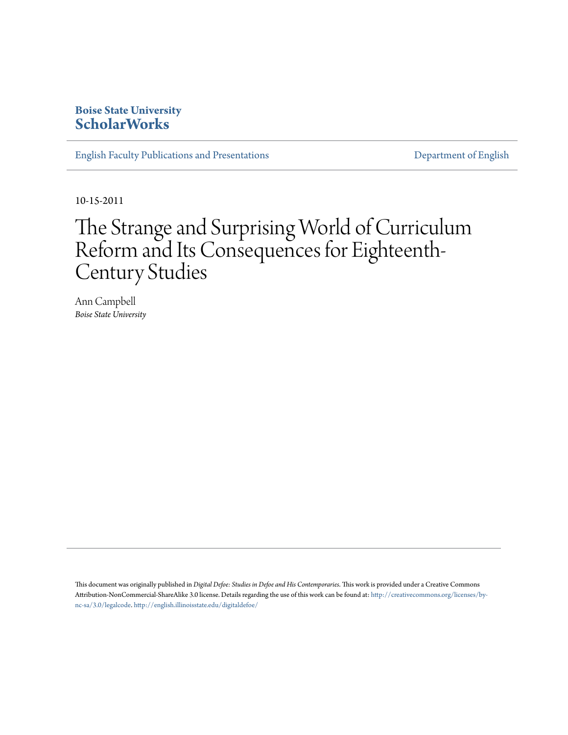### **Boise State University [ScholarWorks](https://scholarworks.boisestate.edu)**

[English Faculty Publications and Presentations](https://scholarworks.boisestate.edu/english_facpubs) **English English** [Department of English](https://scholarworks.boisestate.edu/english)

10-15-2011

## The Strange and Surprising World of Curriculum Reform and Its Consequences for Eighteenth-Century Studies

Ann Campbell *Boise State University*

This document was originally published in *Digital Defoe: Studies in Defoe and His Contemporaries*. This work is provided under a Creative Commons Attribution-NonCommercial-ShareAlike 3.0 license. Details regarding the use of this work can be found at: [http://creativecommons.org/licenses/by](http://creativecommons.org/licenses/by-nc-sa/3.0/legalcode)[nc-sa/3.0/legalcode](http://creativecommons.org/licenses/by-nc-sa/3.0/legalcode). <http://english.illinoisstate.edu/digitaldefoe/>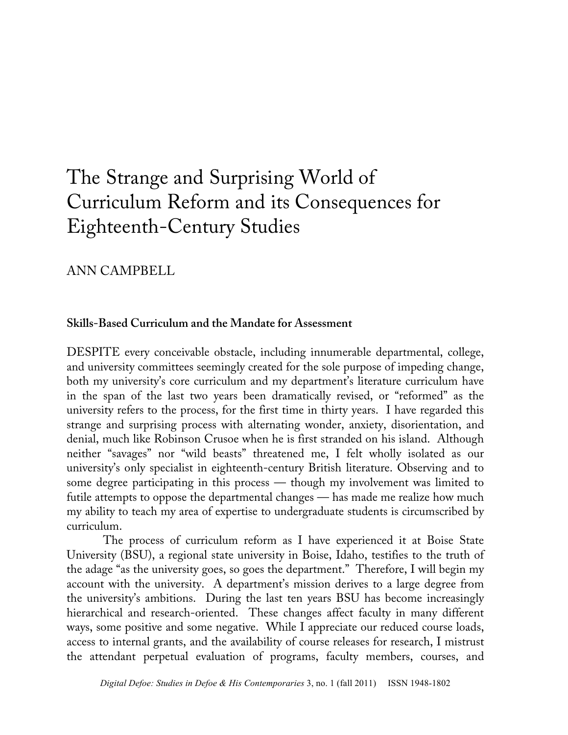# The Strange and Surprising World of Curriculum Reform and its Consequences for Eighteenth-Century Studies

## ANN CAMPBELL

#### **Skills-Based Curriculum and the Mandate for Assessment**

DESPITE every conceivable obstacle, including innumerable departmental, college, and university committees seemingly created for the sole purpose of impeding change, both my university's core curriculum and my department's literature curriculum have in the span of the last two years been dramatically revised, or "reformed" as the university refers to the process, for the first time in thirty years. I have regarded this strange and surprising process with alternating wonder, anxiety, disorientation, and denial, much like Robinson Crusoe when he is first stranded on his island. Although neither "savages" nor "wild beasts" threatened me, I felt wholly isolated as our university's only specialist in eighteenth-century British literature. Observing and to some degree participating in this process — though my involvement was limited to futile attempts to oppose the departmental changes — has made me realize how much my ability to teach my area of expertise to undergraduate students is circumscribed by curriculum.

The process of curriculum reform as I have experienced it at Boise State University (BSU), a regional state university in Boise, Idaho, testifies to the truth of the adage "as the university goes, so goes the department." Therefore, I will begin my account with the university. A department's mission derives to a large degree from the university's ambitions. During the last ten years BSU has become increasingly hierarchical and research-oriented. These changes affect faculty in many different ways, some positive and some negative. While I appreciate our reduced course loads, access to internal grants, and the availability of course releases for research, I mistrust the attendant perpetual evaluation of programs, faculty members, courses, and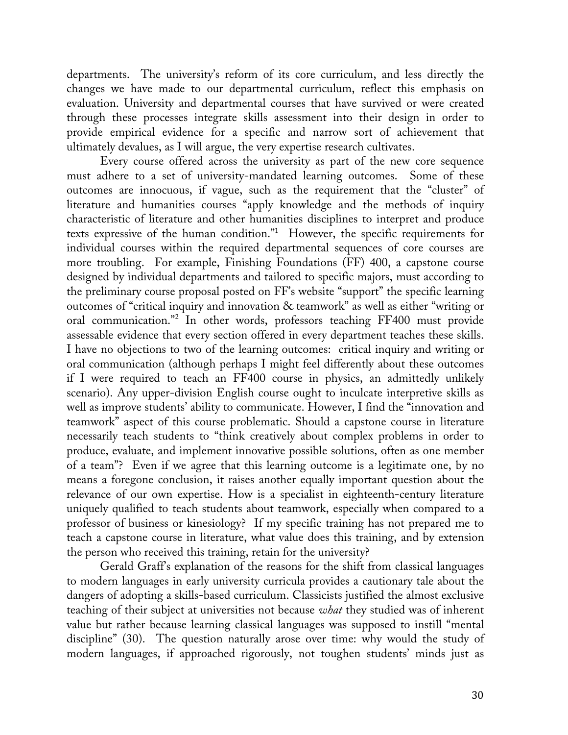departments. The university's reform of its core curriculum, and less directly the changes we have made to our departmental curriculum, reflect this emphasis on evaluation. University and departmental courses that have survived or were created through these processes integrate skills assessment into their design in order to provide empirical evidence for a specific and narrow sort of achievement that ultimately devalues, as I will argue, the very expertise research cultivates.

Every course offered across the university as part of the new core sequence must adhere to a set of university-mandated learning outcomes. Some of these outcomes are innocuous, if vague, such as the requirement that the "cluster" of literature and humanities courses "apply knowledge and the methods of inquiry characteristic of literature and other humanities disciplines to interpret and produce texts expressive of the human condition."1 However, the specific requirements for individual courses within the required departmental sequences of core courses are more troubling. For example, Finishing Foundations (FF) 400, a capstone course designed by individual departments and tailored to specific majors, must according to the preliminary course proposal posted on FF's website "support" the specific learning outcomes of "critical inquiry and innovation & teamwork" as well as either "writing or oral communication."<sup>2</sup> In other words, professors teaching FF400 must provide assessable evidence that every section offered in every department teaches these skills. I have no objections to two of the learning outcomes: critical inquiry and writing or oral communication (although perhaps I might feel differently about these outcomes if I were required to teach an FF400 course in physics, an admittedly unlikely scenario). Any upper-division English course ought to inculcate interpretive skills as well as improve students' ability to communicate. However, I find the "innovation and teamwork" aspect of this course problematic. Should a capstone course in literature necessarily teach students to "think creatively about complex problems in order to produce, evaluate, and implement innovative possible solutions, often as one member of a team"? Even if we agree that this learning outcome is a legitimate one, by no means a foregone conclusion, it raises another equally important question about the relevance of our own expertise. How is a specialist in eighteenth-century literature uniquely qualified to teach students about teamwork, especially when compared to a professor of business or kinesiology? If my specific training has not prepared me to teach a capstone course in literature, what value does this training, and by extension the person who received this training, retain for the university?

Gerald Graff's explanation of the reasons for the shift from classical languages to modern languages in early university curricula provides a cautionary tale about the dangers of adopting a skills-based curriculum. Classicists justified the almost exclusive teaching of their subject at universities not because *what* they studied was of inherent value but rather because learning classical languages was supposed to instill "mental discipline" (30). The question naturally arose over time: why would the study of modern languages, if approached rigorously, not toughen students' minds just as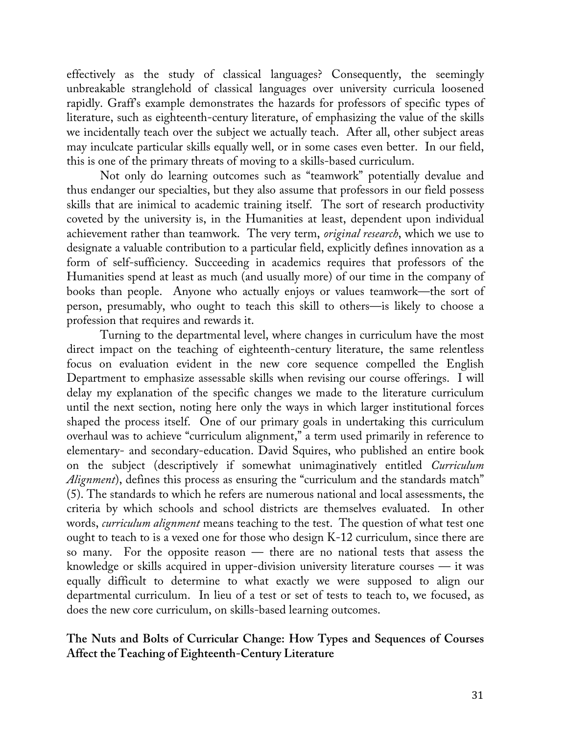effectively as the study of classical languages? Consequently, the seemingly unbreakable stranglehold of classical languages over university curricula loosened rapidly. Graff's example demonstrates the hazards for professors of specific types of literature, such as eighteenth-century literature, of emphasizing the value of the skills we incidentally teach over the subject we actually teach. After all, other subject areas may inculcate particular skills equally well, or in some cases even better. In our field, this is one of the primary threats of moving to a skills-based curriculum.

Not only do learning outcomes such as "teamwork" potentially devalue and thus endanger our specialties, but they also assume that professors in our field possess skills that are inimical to academic training itself. The sort of research productivity coveted by the university is, in the Humanities at least, dependent upon individual achievement rather than teamwork. The very term, *original research*, which we use to designate a valuable contribution to a particular field, explicitly defines innovation as a form of self-sufficiency. Succeeding in academics requires that professors of the Humanities spend at least as much (and usually more) of our time in the company of books than people. Anyone who actually enjoys or values teamwork—the sort of person, presumably, who ought to teach this skill to others—is likely to choose a profession that requires and rewards it.

Turning to the departmental level, where changes in curriculum have the most direct impact on the teaching of eighteenth-century literature, the same relentless focus on evaluation evident in the new core sequence compelled the English Department to emphasize assessable skills when revising our course offerings. I will delay my explanation of the specific changes we made to the literature curriculum until the next section, noting here only the ways in which larger institutional forces shaped the process itself. One of our primary goals in undertaking this curriculum overhaul was to achieve "curriculum alignment," a term used primarily in reference to elementary- and secondary-education. David Squires, who published an entire book on the subject (descriptively if somewhat unimaginatively entitled *Curriculum Alignment*), defines this process as ensuring the "curriculum and the standards match" (5). The standards to which he refers are numerous national and local assessments, the criteria by which schools and school districts are themselves evaluated. In other words, *curriculum alignment* means teaching to the test. The question of what test one ought to teach to is a vexed one for those who design K-12 curriculum, since there are so many. For the opposite reason — there are no national tests that assess the knowledge or skills acquired in upper-division university literature courses — it was equally difficult to determine to what exactly we were supposed to align our departmental curriculum. In lieu of a test or set of tests to teach to, we focused, as does the new core curriculum, on skills-based learning outcomes.

## **The Nuts and Bolts of Curricular Change: How Types and Sequences of Courses Affect the Teaching of Eighteenth-Century Literature**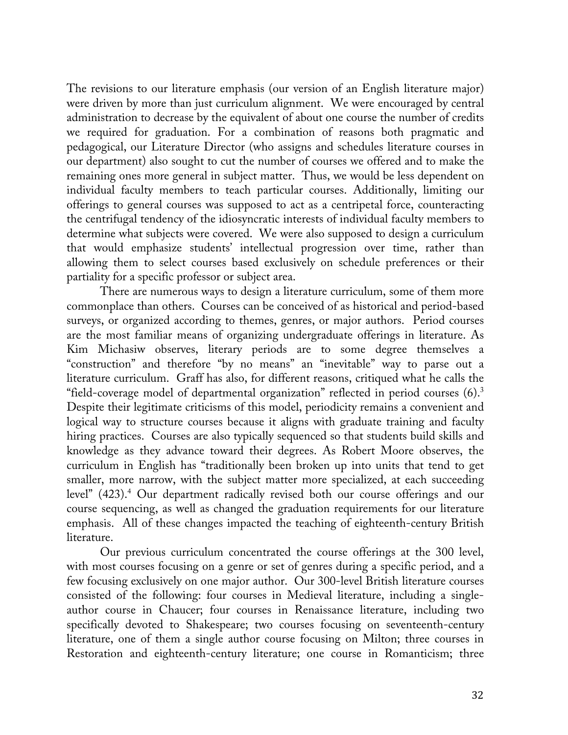The revisions to our literature emphasis (our version of an English literature major) were driven by more than just curriculum alignment. We were encouraged by central administration to decrease by the equivalent of about one course the number of credits we required for graduation. For a combination of reasons both pragmatic and pedagogical, our Literature Director (who assigns and schedules literature courses in our department) also sought to cut the number of courses we offered and to make the remaining ones more general in subject matter. Thus, we would be less dependent on individual faculty members to teach particular courses. Additionally, limiting our offerings to general courses was supposed to act as a centripetal force, counteracting the centrifugal tendency of the idiosyncratic interests of individual faculty members to determine what subjects were covered. We were also supposed to design a curriculum that would emphasize students' intellectual progression over time, rather than allowing them to select courses based exclusively on schedule preferences or their partiality for a specific professor or subject area.

There are numerous ways to design a literature curriculum, some of them more commonplace than others. Courses can be conceived of as historical and period-based surveys, or organized according to themes, genres, or major authors. Period courses are the most familiar means of organizing undergraduate offerings in literature. As Kim Michasiw observes, literary periods are to some degree themselves a "construction" and therefore "by no means" an "inevitable" way to parse out a literature curriculum. Graff has also, for different reasons, critiqued what he calls the "field-coverage model of departmental organization" reflected in period courses  $(6)$ .<sup>3</sup> Despite their legitimate criticisms of this model, periodicity remains a convenient and logical way to structure courses because it aligns with graduate training and faculty hiring practices. Courses are also typically sequenced so that students build skills and knowledge as they advance toward their degrees. As Robert Moore observes, the curriculum in English has "traditionally been broken up into units that tend to get smaller, more narrow, with the subject matter more specialized, at each succeeding level" (423).<sup>4</sup> Our department radically revised both our course offerings and our course sequencing, as well as changed the graduation requirements for our literature emphasis. All of these changes impacted the teaching of eighteenth-century British literature.

Our previous curriculum concentrated the course offerings at the 300 level, with most courses focusing on a genre or set of genres during a specific period, and a few focusing exclusively on one major author. Our 300-level British literature courses consisted of the following: four courses in Medieval literature, including a singleauthor course in Chaucer; four courses in Renaissance literature, including two specifically devoted to Shakespeare; two courses focusing on seventeenth-century literature, one of them a single author course focusing on Milton; three courses in Restoration and eighteenth-century literature; one course in Romanticism; three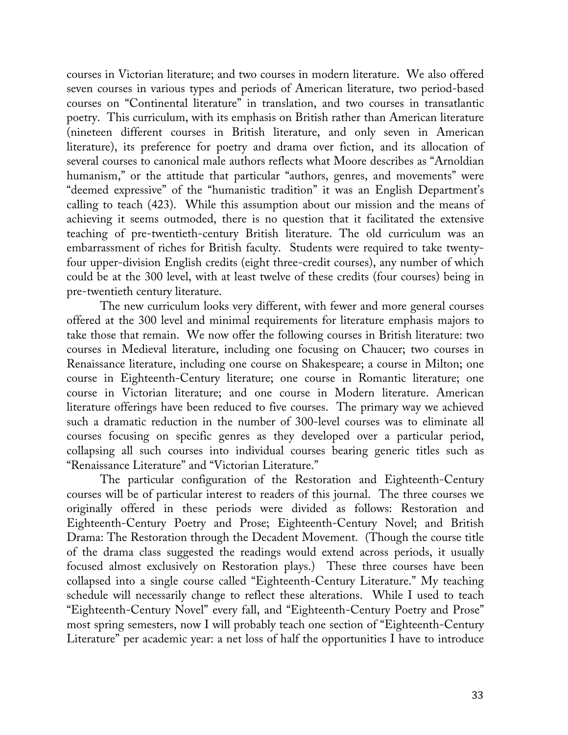courses in Victorian literature; and two courses in modern literature. We also offered seven courses in various types and periods of American literature, two period-based courses on "Continental literature" in translation, and two courses in transatlantic poetry. This curriculum, with its emphasis on British rather than American literature (nineteen different courses in British literature, and only seven in American literature), its preference for poetry and drama over fiction, and its allocation of several courses to canonical male authors reflects what Moore describes as "Arnoldian humanism," or the attitude that particular "authors, genres, and movements" were "deemed expressive" of the "humanistic tradition" it was an English Department's calling to teach (423). While this assumption about our mission and the means of achieving it seems outmoded, there is no question that it facilitated the extensive teaching of pre-twentieth-century British literature. The old curriculum was an embarrassment of riches for British faculty. Students were required to take twentyfour upper-division English credits (eight three-credit courses), any number of which could be at the 300 level, with at least twelve of these credits (four courses) being in pre-twentieth century literature.

The new curriculum looks very different, with fewer and more general courses offered at the 300 level and minimal requirements for literature emphasis majors to take those that remain. We now offer the following courses in British literature: two courses in Medieval literature, including one focusing on Chaucer; two courses in Renaissance literature, including one course on Shakespeare; a course in Milton; one course in Eighteenth-Century literature; one course in Romantic literature; one course in Victorian literature; and one course in Modern literature. American literature offerings have been reduced to five courses. The primary way we achieved such a dramatic reduction in the number of 300-level courses was to eliminate all courses focusing on specific genres as they developed over a particular period, collapsing all such courses into individual courses bearing generic titles such as "Renaissance Literature" and "Victorian Literature."

The particular configuration of the Restoration and Eighteenth-Century courses will be of particular interest to readers of this journal. The three courses we originally offered in these periods were divided as follows: Restoration and Eighteenth-Century Poetry and Prose; Eighteenth-Century Novel; and British Drama: The Restoration through the Decadent Movement. (Though the course title of the drama class suggested the readings would extend across periods, it usually focused almost exclusively on Restoration plays.) These three courses have been collapsed into a single course called "Eighteenth-Century Literature." My teaching schedule will necessarily change to reflect these alterations. While I used to teach "Eighteenth-Century Novel" every fall, and "Eighteenth-Century Poetry and Prose" most spring semesters, now I will probably teach one section of "Eighteenth-Century Literature" per academic year: a net loss of half the opportunities I have to introduce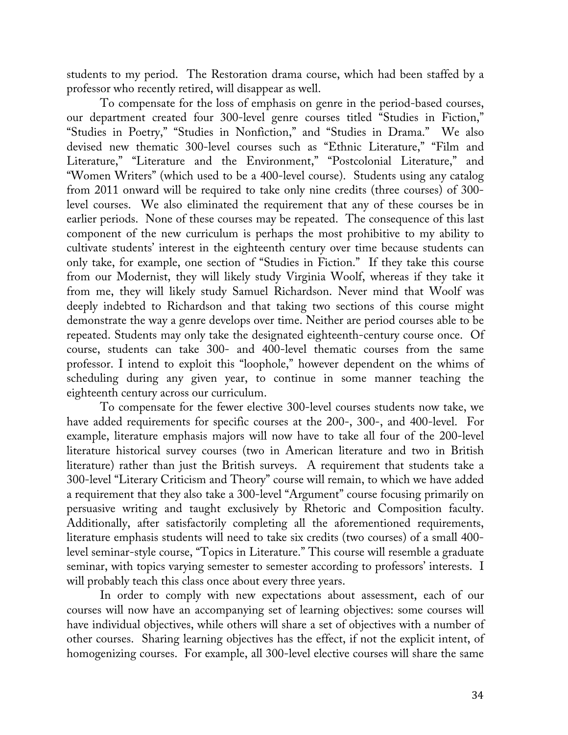students to my period. The Restoration drama course, which had been staffed by a professor who recently retired, will disappear as well.

To compensate for the loss of emphasis on genre in the period-based courses, our department created four 300-level genre courses titled "Studies in Fiction," "Studies in Poetry," "Studies in Nonfiction," and "Studies in Drama." We also devised new thematic 300-level courses such as "Ethnic Literature," "Film and Literature," "Literature and the Environment," "Postcolonial Literature," and "Women Writers" (which used to be a 400-level course). Students using any catalog from 2011 onward will be required to take only nine credits (three courses) of 300 level courses. We also eliminated the requirement that any of these courses be in earlier periods. None of these courses may be repeated. The consequence of this last component of the new curriculum is perhaps the most prohibitive to my ability to cultivate students' interest in the eighteenth century over time because students can only take, for example, one section of "Studies in Fiction." If they take this course from our Modernist, they will likely study Virginia Woolf, whereas if they take it from me, they will likely study Samuel Richardson. Never mind that Woolf was deeply indebted to Richardson and that taking two sections of this course might demonstrate the way a genre develops over time. Neither are period courses able to be repeated. Students may only take the designated eighteenth-century course once. Of course, students can take 300- and 400-level thematic courses from the same professor. I intend to exploit this "loophole," however dependent on the whims of scheduling during any given year, to continue in some manner teaching the eighteenth century across our curriculum.

To compensate for the fewer elective 300-level courses students now take, we have added requirements for specific courses at the 200-, 300-, and 400-level. For example, literature emphasis majors will now have to take all four of the 200-level literature historical survey courses (two in American literature and two in British literature) rather than just the British surveys. A requirement that students take a 300-level "Literary Criticism and Theory" course will remain, to which we have added a requirement that they also take a 300-level "Argument" course focusing primarily on persuasive writing and taught exclusively by Rhetoric and Composition faculty. Additionally, after satisfactorily completing all the aforementioned requirements, literature emphasis students will need to take six credits (two courses) of a small 400 level seminar-style course, "Topics in Literature." This course will resemble a graduate seminar, with topics varying semester to semester according to professors' interests. I will probably teach this class once about every three years.

In order to comply with new expectations about assessment, each of our courses will now have an accompanying set of learning objectives: some courses will have individual objectives, while others will share a set of objectives with a number of other courses. Sharing learning objectives has the effect, if not the explicit intent, of homogenizing courses. For example, all 300-level elective courses will share the same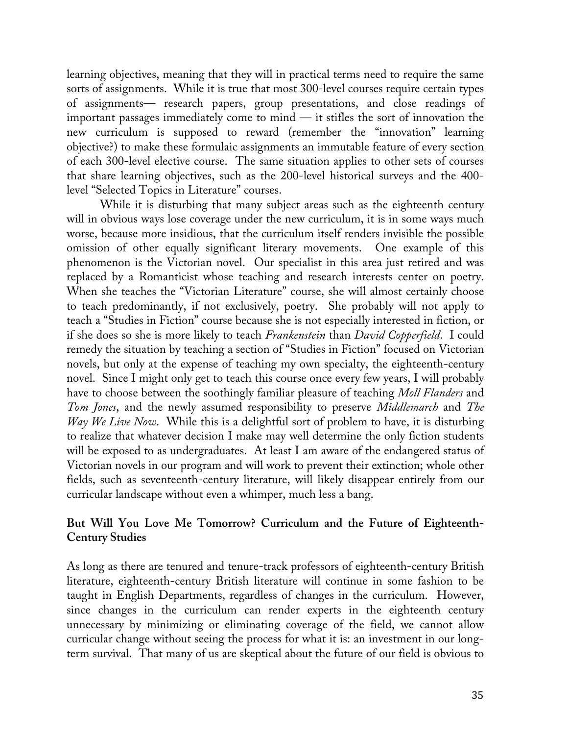learning objectives, meaning that they will in practical terms need to require the same sorts of assignments. While it is true that most 300-level courses require certain types of assignments— research papers, group presentations, and close readings of important passages immediately come to mind — it stifles the sort of innovation the new curriculum is supposed to reward (remember the "innovation" learning objective?) to make these formulaic assignments an immutable feature of every section of each 300-level elective course. The same situation applies to other sets of courses that share learning objectives, such as the 200-level historical surveys and the 400 level "Selected Topics in Literature" courses.

While it is disturbing that many subject areas such as the eighteenth century will in obvious ways lose coverage under the new curriculum, it is in some ways much worse, because more insidious, that the curriculum itself renders invisible the possible omission of other equally significant literary movements. One example of this phenomenon is the Victorian novel. Our specialist in this area just retired and was replaced by a Romanticist whose teaching and research interests center on poetry. When she teaches the "Victorian Literature" course, she will almost certainly choose to teach predominantly, if not exclusively, poetry. She probably will not apply to teach a "Studies in Fiction" course because she is not especially interested in fiction, or if she does so she is more likely to teach *Frankenstein* than *David Copperfield*. I could remedy the situation by teaching a section of "Studies in Fiction" focused on Victorian novels, but only at the expense of teaching my own specialty, the eighteenth-century novel. Since I might only get to teach this course once every few years, I will probably have to choose between the soothingly familiar pleasure of teaching *Moll Flanders* and *Tom Jones*, and the newly assumed responsibility to preserve *Middlemarch* and *The Way We Live Now.* While this is a delightful sort of problem to have, it is disturbing to realize that whatever decision I make may well determine the only fiction students will be exposed to as undergraduates. At least I am aware of the endangered status of Victorian novels in our program and will work to prevent their extinction; whole other fields, such as seventeenth-century literature, will likely disappear entirely from our curricular landscape without even a whimper, much less a bang.

## **But Will You Love Me Tomorrow? Curriculum and the Future of Eighteenth-Century Studies**

As long as there are tenured and tenure-track professors of eighteenth-century British literature, eighteenth-century British literature will continue in some fashion to be taught in English Departments, regardless of changes in the curriculum. However, since changes in the curriculum can render experts in the eighteenth century unnecessary by minimizing or eliminating coverage of the field, we cannot allow curricular change without seeing the process for what it is: an investment in our longterm survival. That many of us are skeptical about the future of our field is obvious to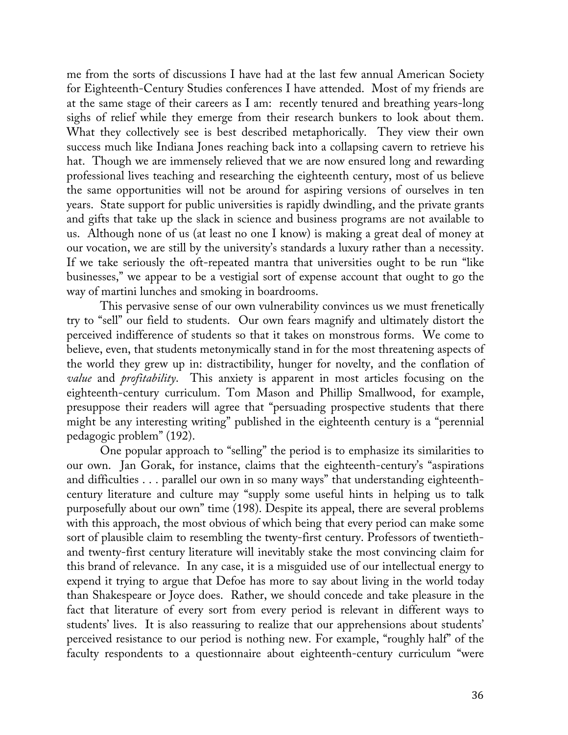me from the sorts of discussions I have had at the last few annual American Society for Eighteenth-Century Studies conferences I have attended. Most of my friends are at the same stage of their careers as I am: recently tenured and breathing years-long sighs of relief while they emerge from their research bunkers to look about them. What they collectively see is best described metaphorically. They view their own success much like Indiana Jones reaching back into a collapsing cavern to retrieve his hat. Though we are immensely relieved that we are now ensured long and rewarding professional lives teaching and researching the eighteenth century, most of us believe the same opportunities will not be around for aspiring versions of ourselves in ten years. State support for public universities is rapidly dwindling, and the private grants and gifts that take up the slack in science and business programs are not available to us. Although none of us (at least no one I know) is making a great deal of money at our vocation, we are still by the university's standards a luxury rather than a necessity. If we take seriously the oft-repeated mantra that universities ought to be run "like businesses," we appear to be a vestigial sort of expense account that ought to go the way of martini lunches and smoking in boardrooms.

This pervasive sense of our own vulnerability convinces us we must frenetically try to "sell" our field to students. Our own fears magnify and ultimately distort the perceived indifference of students so that it takes on monstrous forms. We come to believe, even, that students metonymically stand in for the most threatening aspects of the world they grew up in: distractibility, hunger for novelty, and the conflation of *value* and *profitability*. This anxiety is apparent in most articles focusing on the eighteenth-century curriculum. Tom Mason and Phillip Smallwood, for example, presuppose their readers will agree that "persuading prospective students that there might be any interesting writing" published in the eighteenth century is a "perennial pedagogic problem" (192).

One popular approach to "selling" the period is to emphasize its similarities to our own. Jan Gorak, for instance, claims that the eighteenth-century's "aspirations and difficulties . . . parallel our own in so many ways" that understanding eighteenthcentury literature and culture may "supply some useful hints in helping us to talk purposefully about our own" time (198). Despite its appeal, there are several problems with this approach, the most obvious of which being that every period can make some sort of plausible claim to resembling the twenty-first century. Professors of twentiethand twenty-first century literature will inevitably stake the most convincing claim for this brand of relevance. In any case, it is a misguided use of our intellectual energy to expend it trying to argue that Defoe has more to say about living in the world today than Shakespeare or Joyce does. Rather, we should concede and take pleasure in the fact that literature of every sort from every period is relevant in different ways to students' lives. It is also reassuring to realize that our apprehensions about students' perceived resistance to our period is nothing new. For example, "roughly half" of the faculty respondents to a questionnaire about eighteenth-century curriculum "were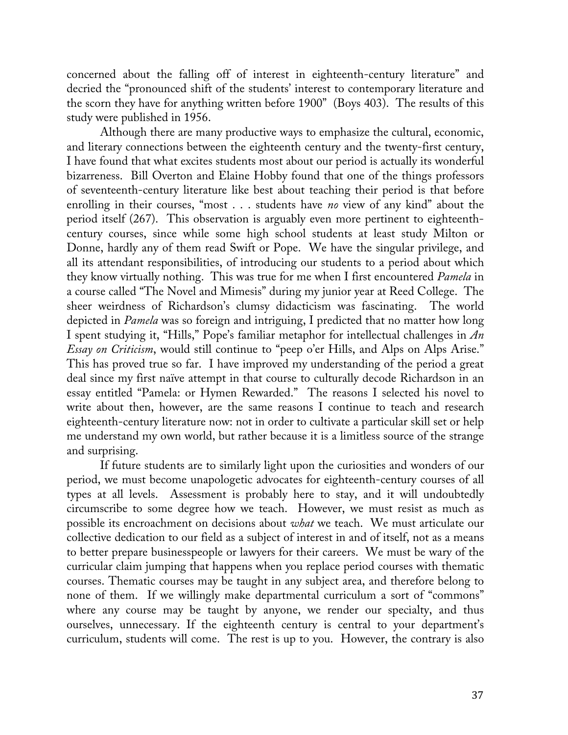concerned about the falling off of interest in eighteenth-century literature" and decried the "pronounced shift of the students' interest to contemporary literature and the scorn they have for anything written before 1900" (Boys 403). The results of this study were published in 1956.

Although there are many productive ways to emphasize the cultural, economic, and literary connections between the eighteenth century and the twenty-first century, I have found that what excites students most about our period is actually its wonderful bizarreness. Bill Overton and Elaine Hobby found that one of the things professors of seventeenth-century literature like best about teaching their period is that before enrolling in their courses, "most . . . students have *no* view of any kind" about the period itself (267). This observation is arguably even more pertinent to eighteenthcentury courses, since while some high school students at least study Milton or Donne, hardly any of them read Swift or Pope. We have the singular privilege, and all its attendant responsibilities, of introducing our students to a period about which they know virtually nothing. This was true for me when I first encountered *Pamela* in a course called "The Novel and Mimesis" during my junior year at Reed College. The sheer weirdness of Richardson's clumsy didacticism was fascinating. The world depicted in *Pamela* was so foreign and intriguing, I predicted that no matter how long I spent studying it, "Hills," Pope's familiar metaphor for intellectual challenges in *An Essay on Criticism*, would still continue to "peep o'er Hills, and Alps on Alps Arise." This has proved true so far. I have improved my understanding of the period a great deal since my first naïve attempt in that course to culturally decode Richardson in an essay entitled "Pamela: or Hymen Rewarded." The reasons I selected his novel to write about then, however, are the same reasons I continue to teach and research eighteenth-century literature now: not in order to cultivate a particular skill set or help me understand my own world, but rather because it is a limitless source of the strange and surprising.

If future students are to similarly light upon the curiosities and wonders of our period, we must become unapologetic advocates for eighteenth-century courses of all types at all levels. Assessment is probably here to stay, and it will undoubtedly circumscribe to some degree how we teach. However, we must resist as much as possible its encroachment on decisions about *what* we teach. We must articulate our collective dedication to our field as a subject of interest in and of itself, not as a means to better prepare businesspeople or lawyers for their careers. We must be wary of the curricular claim jumping that happens when you replace period courses with thematic courses. Thematic courses may be taught in any subject area, and therefore belong to none of them. If we willingly make departmental curriculum a sort of "commons" where any course may be taught by anyone, we render our specialty, and thus ourselves, unnecessary. If the eighteenth century is central to your department's curriculum, students will come. The rest is up to you. However, the contrary is also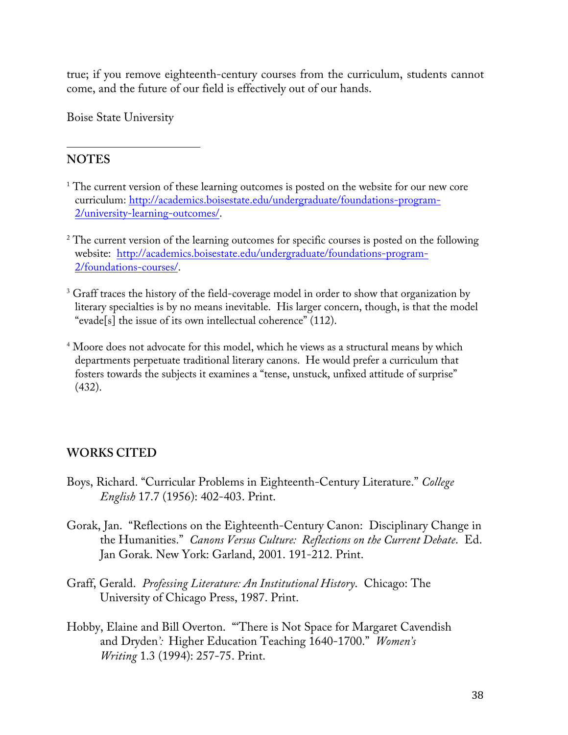true; if you remove eighteenth-century courses from the curriculum, students cannot come, and the future of our field is effectively out of our hands.

Boise State University

!!!!!!!!!!!!!!!!!!!!!!!!!!!!!!!!!!!!!!!!!!!!!!!!!!!!!!!

## **NOTES**

- <sup>1</sup> The current version of these learning outcomes is posted on the website for our new core curriculum: http://academics.boisestate.edu/undergraduate/foundations-program-2/university-learning-outcomes/.
- <sup>2</sup> The current version of the learning outcomes for specific courses is posted on the following website: http://academics.boisestate.edu/undergraduate/foundations-program-2/foundations-courses/.
- <sup>3</sup> Graff traces the history of the field-coverage model in order to show that organization by literary specialties is by no means inevitable. His larger concern, though, is that the model "evade[s] the issue of its own intellectual coherence" (112).
- <sup>4</sup> Moore does not advocate for this model, which he views as a structural means by which departments perpetuate traditional literary canons. He would prefer a curriculum that fosters towards the subjects it examines a "tense, unstuck, unfixed attitude of surprise" (432).

## **WORKS CITED**

- Boys, Richard. "Curricular Problems in Eighteenth-Century Literature." *College English* 17.7 (1956): 402-403. Print.
- Gorak, Jan. "Reflections on the Eighteenth-Century Canon: Disciplinary Change in the Humanities." *Canons Versus Culture: Reflections on the Current Debate*. Ed. Jan Gorak. New York: Garland, 2001. 191-212. Print.
- Graff, Gerald. *Professing Literature: An Institutional History*. Chicago: The University of Chicago Press, 1987. Print.
- Hobby, Elaine and Bill Overton. "'There is Not Space for Margaret Cavendish and Dryden*':* Higher Education Teaching 1640-1700." *Women's Writing* 1.3 (1994): 257-75. Print.